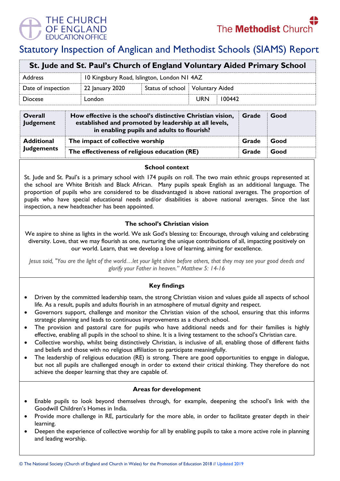

# Statutory Inspection of Anglican and Methodist Schools (SIAMS) Report

| St. Jude and St. Paul's Church of England Voluntary Aided Primary School |                                             |  |                                    |        |  |  |
|--------------------------------------------------------------------------|---------------------------------------------|--|------------------------------------|--------|--|--|
| <b>Address</b>                                                           | 10 Kingsbury Road, Islington, London N1 4AZ |  |                                    |        |  |  |
| Date of inspection                                                       | 22 January 2020                             |  | Status of school   Voluntary Aided |        |  |  |
| <b>Diocese</b>                                                           | London                                      |  | <b>URN</b>                         | 100442 |  |  |

| Overall<br>Judgement                   | How effective is the school's distinctive Christian vision,<br>established and promoted by leadership at all levels,<br>in enabling pupils and adults to flourish? | Grade | Good |
|----------------------------------------|--------------------------------------------------------------------------------------------------------------------------------------------------------------------|-------|------|
| <b>Additional</b><br><b>Judgements</b> | The impact of collective worship                                                                                                                                   | Grade | Good |
|                                        | The effectiveness of religious education (RE)                                                                                                                      | Grade | Good |

#### **School context**

St. Jude and St. Paul's is a primary school with 174 pupils on roll. The two main ethnic groups represented at the school are White British and Black African. Many pupils speak English as an additional language. The proportion of pupils who are considered to be disadvantaged is above national averages. The proportion of pupils who have special educational needs and/or disabilities is above national averages. Since the last inspection, a new headteacher has been appointed.

# **The school's Christian vision**

We aspire to shine as lights in the world. We ask God's blessing to: Encourage, through valuing and celebrating diversity. Love, that we may flourish as one, nurturing the unique contributions of all, impacting positively on our world. Learn, that we develop a love of learning, aiming for excellence.

*Jesus said, "You are the light of the world…let your light shine before others, that they may see your good deeds and glorify your Father in heaven." Matthew 5: 14-16*

# **Key findings**

- Driven by the committed leadership team, the strong Christian vision and values guide all aspects of school life. As a result, pupils and adults flourish in an atmosphere of mutual dignity and respect.
- Governors support, challenge and monitor the Christian vision of the school, ensuring that this informs strategic planning and leads to continuous improvements as a church school.
- The provision and pastoral care for pupils who have additional needs and for their families is highly effective, enabling all pupils in the school to shine. It is a living testament to the school's Christian care.
- Collective worship, whilst being distinctively Christian, is inclusive of all, enabling those of different faiths and beliefs and those with no religious affiliation to participate meaningfully.
- The leadership of religious education (RE) is strong. There are good opportunities to engage in dialogue, but not all pupils are challenged enough in order to extend their critical thinking. They therefore do not achieve the deeper learning that they are capable of.

## **Areas for development**

- Enable pupils to look beyond themselves through, for example, deepening the school's link with the Goodwill Children's Homes in India.
- Provide more challenge in RE, particularly for the more able, in order to facilitate greater depth in their learning.
- Deepen the experience of collective worship for all by enabling pupils to take a more active role in planning and leading worship.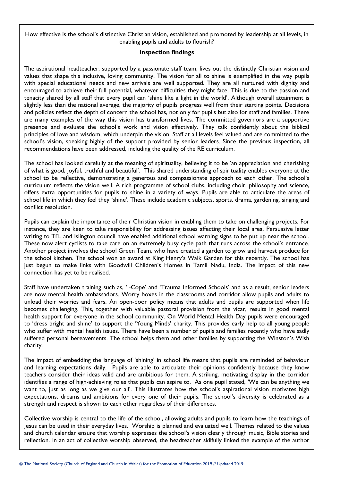How effective is the school's distinctive Christian vision, established and promoted by leadership at all levels, in enabling pupils and adults to flourish?

#### **Inspection findings**

The aspirational headteacher, supported by a passionate staff team, lives out the distinctly Christian vision and values that shape this inclusive, loving community. The vision for all to shine is exemplified in the way pupils with special educational needs and new arrivals are well supported. They are all nurtured with dignity and encouraged to achieve their full potential, whatever difficulties they might face. This is due to the passion and tenacity shared by all staff that every pupil can 'shine like a light in the world'. Although overall attainment is slightly less than the national average, the majority of pupils progress well from their starting points. Decisions and policies reflect the depth of concern the school has, not only for pupils but also for staff and families. There are many examples of the way this vision has transformed lives. The committed governors are a supportive presence and evaluate the school's work and vision effectively. They talk confidently about the biblical principles of love and wisdom, which underpin the vision. Staff at all levels feel valued and are committed to the school's vision, speaking highly of the support provided by senior leaders. Since the previous inspection, all recommendations have been addressed, including the quality of the RE curriculum.

The school has looked carefully at the meaning of spirituality, believing it to be 'an appreciation and cherishing of what is good, joyful, truthful and beautiful'. This shared understanding of spirituality enables everyone at the school to be reflective, demonstrating a generous and compassionate approach to each other. The school's curriculum reflects the vision well. A rich programme of school clubs, including choir, philosophy and science, offers extra opportunities for pupils to shine in a variety of ways. Pupils are able to articulate the areas of school life in which they feel they 'shine'. These include academic subjects, sports, drama, gardening, singing and conflict resolution.

Pupils can explain the importance of their Christian vision in enabling them to take on challenging projects. For instance, they are keen to take responsibility for addressing issues affecting their local area. Persuasive letter writing to TFL and Islington council have enabled additional school warning signs to be put up near the school. These now alert cyclists to take care on an extremely busy cycle path that runs across the school's entrance. Another project involves the school Green Team, who have created a garden to grow and harvest produce for the school kitchen. The school won an award at King Henry's Walk Garden for this recently. The school has just begun to make links with Goodwill Children's Homes in Tamil Nadu, India. The impact of this new connection has yet to be realised.

Staff have undertaken training such as, 'I-Cope' and 'Trauma Informed Schools' and as a result, senior leaders are now mental health ambassadors. Worry boxes in the classrooms and corridor allow pupils and adults to unload their worries and fears. An open-door policy means that adults and pupils are supported when life becomes challenging. This, together with valuable pastoral provision from the vicar, results in good mental health support for everyone in the school community. On World Mental Health Day pupils were encouraged to 'dress bright and shine' to support the 'Young Minds' charity. This provides early help to all young people who suffer with mental health issues. There have been a number of pupils and families recently who have sadly suffered personal bereavements. The school helps them and other families by supporting the Winston's Wish charity.

The impact of embedding the language of 'shining' in school life means that pupils are reminded of behaviour and learning expectations daily. Pupils are able to articulate their opinions confidently because they know teachers consider their ideas valid and are ambitious for them. A striking, motivating display in the corridor identifies a range of high-achieving roles that pupils can aspire to. As one pupil stated, 'We can be anything we want to, just as long as we give our all'. This illustrates how the school's aspirational vision motivates high expectations, dreams and ambitions for every one of their pupils. The school's diversity is celebrated as a strength and respect is shown to each other regardless of their differences.

Collective worship is central to the life of the school, allowing adults and pupils to learn how the teachings of Jesus can be used in their everyday lives. Worship is planned and evaluated well. Themes related to the values and church calendar ensure that worship expresses the school's vision clearly through music, Bible stories and reflection. In an act of collective worship observed, the headteacher skilfully linked the example of the author